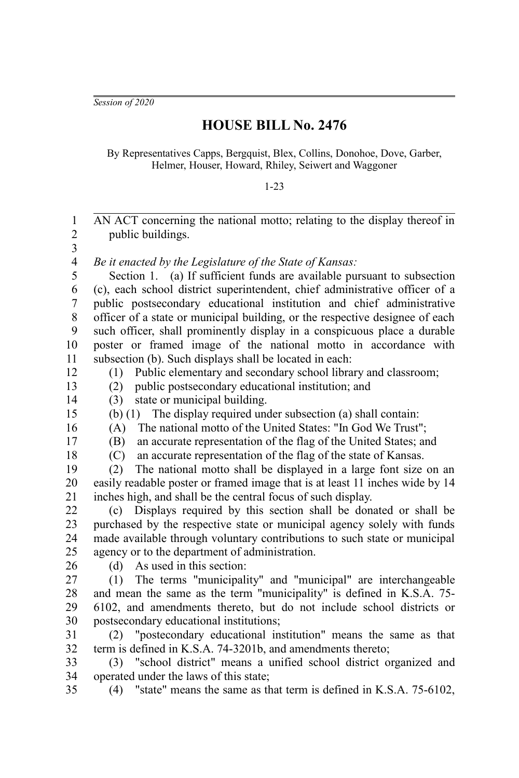*Session of 2020*

## **HOUSE BILL No. 2476**

By Representatives Capps, Bergquist, Blex, Collins, Donohoe, Dove, Garber, Helmer, Houser, Howard, Rhiley, Seiwert and Waggoner

1-23

| $\mathbf{1}$<br>$\overline{c}$<br>3 | AN ACT concerning the national motto; relating to the display thereof in<br>public buildings. |
|-------------------------------------|-----------------------------------------------------------------------------------------------|
| $\overline{\mathbf{4}}$             | Be it enacted by the Legislature of the State of Kansas:                                      |
| 5                                   | Section 1. (a) If sufficient funds are available pursuant to subsection                       |
| 6                                   | (c), each school district superintendent, chief administrative officer of a                   |
| $\overline{7}$                      | public postsecondary educational institution and chief administrative                         |
| 8                                   | officer of a state or municipal building, or the respective designee of each                  |
| 9                                   | such officer, shall prominently display in a conspicuous place a durable                      |
| 10                                  | poster or framed image of the national motto in accordance with                               |
| 11                                  | subsection (b). Such displays shall be located in each:                                       |
| 12                                  | Public elementary and secondary school library and classroom;<br>(1)                          |
| 13                                  | public postsecondary educational institution; and<br>(2)                                      |
| 14                                  | state or municipal building.<br>(3)                                                           |
| 15                                  | The display required under subsection (a) shall contain:<br>(b) $(1)$                         |
| 16                                  | The national motto of the United States: "In God We Trust";<br>(A)                            |
| 17                                  | an accurate representation of the flag of the United States; and<br>(B)                       |
| 18                                  | an accurate representation of the flag of the state of Kansas.<br>(C)                         |
| 19                                  | The national motto shall be displayed in a large font size on an<br>(2)                       |
| 20                                  | easily readable poster or framed image that is at least 11 inches wide by 14                  |
| 21                                  | inches high, and shall be the central focus of such display.                                  |
| 22                                  | Displays required by this section shall be donated or shall be<br>(c)                         |
| 23                                  | purchased by the respective state or municipal agency solely with funds                       |
| 24<br>25                            | made available through voluntary contributions to such state or municipal                     |
| 26                                  | agency or to the department of administration.<br>As used in this section:<br>(d)             |
| 27                                  | The terms "municipality" and "municipal" are interchangeable<br>(1)                           |
| 28                                  | and mean the same as the term "municipality" is defined in K.S.A. 75-                         |
| 29                                  | 6102, and amendments thereto, but do not include school districts or                          |
| 30                                  | postsecondary educational institutions;                                                       |
| 31                                  | "postecondary educational institution" means the same as that<br>(2)                          |
| 32                                  | term is defined in K.S.A. 74-3201b, and amendments thereto;                                   |
| 33                                  | "school district" means a unified school district organized and<br>(3)                        |
| 34                                  | operated under the laws of this state;                                                        |
| 35                                  | "state" means the same as that term is defined in K.S.A. 75-6102,<br>(4)                      |
|                                     |                                                                                               |